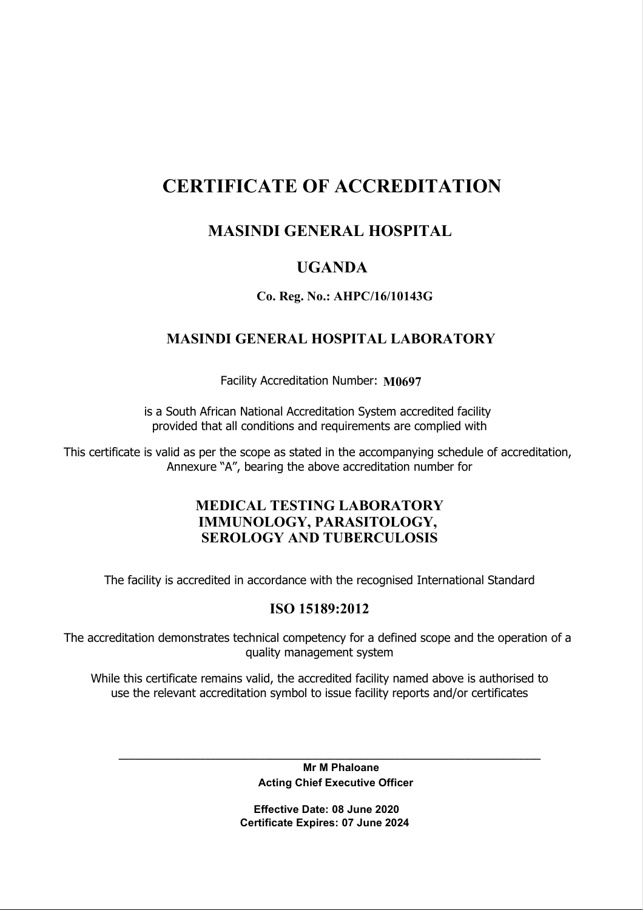# CERTIFICATE OF ACCREDITATION

# MASINDI GENERAL HOSPITAL

# UGANDA

### Co. Reg. No.: AHPC/16/10143G

## MASINDI GENERAL HOSPITAL LABORATORY

Facility Accreditation Number: M0697

is a South African National Accreditation System accredited facility provided that all conditions and requirements are complied with

This certificate is valid as per the scope as stated in the accompanying schedule of accreditation, Annexure "A", bearing the above accreditation number for

## MEDICAL TESTING LABORATORY IMMUNOLOGY, PARASITOLOGY, SEROLOGY AND TUBERCULOSIS

The facility is accredited in accordance with the recognised International Standard

### ISO 15189:2012

The accreditation demonstrates technical competency for a defined scope and the operation of a quality management system

While this certificate remains valid, the accredited facility named above is authorised to use the relevant accreditation symbol to issue facility reports and/or certificates

> Mr M Phaloane Acting Chief Executive Officer

\_\_\_\_\_\_\_\_\_\_\_\_\_\_\_\_\_\_\_\_\_\_\_\_\_\_\_\_\_\_\_\_\_\_\_\_\_\_\_\_\_\_\_\_\_\_\_\_\_\_\_\_\_\_\_\_\_\_\_\_\_\_\_\_\_\_\_\_\_\_\_\_\_\_\_\_\_\_

 Effective Date: 08 June 2020 Certificate Expires: 07 June 2024